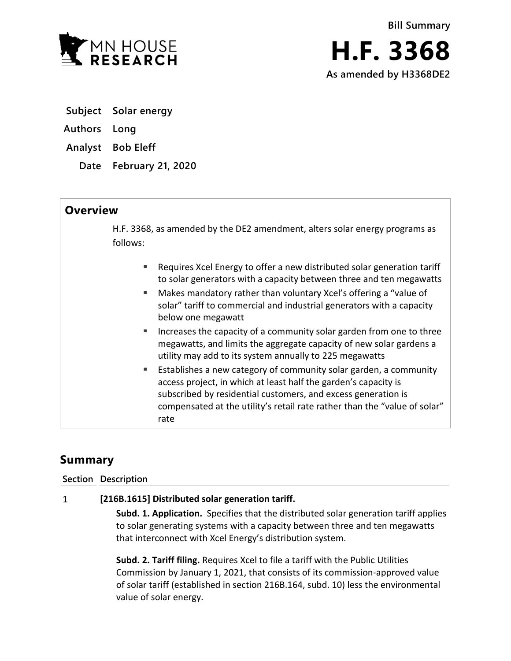

**As amended by H3368DE2**

- **Subject Solar energy**
- **Authors Long**
- **Analyst Bob Eleff**
	- **Date February 21, 2020**

## **Overview**

H.F. 3368, as amended by the DE2 amendment, alters solar energy programs as follows:

- Requires Xcel Energy to offer a new distributed solar generation tariff to solar generators with a capacity between three and ten megawatts
- Makes mandatory rather than voluntary Xcel's offering a "value of solar" tariff to commercial and industrial generators with a capacity below one megawatt
- **IF** Increases the capacity of a community solar garden from one to three megawatts, and limits the aggregate capacity of new solar gardens a utility may add to its system annually to 225 megawatts
- Establishes a new category of community solar garden, a community access project, in which at least half the garden's capacity is subscribed by residential customers, and excess generation is compensated at the utility's retail rate rather than the "value of solar" rate

# **Summary**

### **Section Description**

#### $\mathbf{1}$ **[216B.1615] Distributed solar generation tariff.**

**Subd. 1. Application.** Specifies that the distributed solar generation tariff applies to solar generating systems with a capacity between three and ten megawatts that interconnect with Xcel Energy's distribution system.

**Subd. 2. Tariff filing.** Requires Xcel to file a tariff with the Public Utilities Commission by January 1, 2021, that consists of its commission-approved value of solar tariff (established in section 216B.164, subd. 10) less the environmental value of solar energy.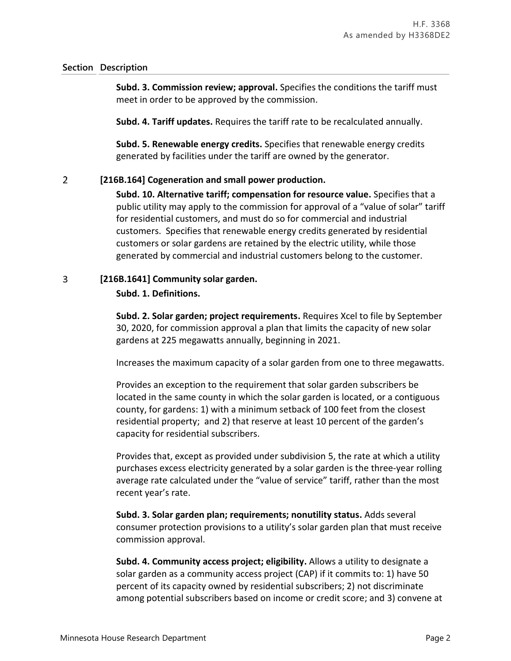### **Section Description**

**Subd. 3. Commission review; approval.** Specifies the conditions the tariff must meet in order to be approved by the commission.

**Subd. 4. Tariff updates.** Requires the tariff rate to be recalculated annually.

**Subd. 5. Renewable energy credits.** Specifies that renewable energy credits generated by facilities under the tariff are owned by the generator.

#### $\overline{2}$ **[216B.164] Cogeneration and small power production.**

**Subd. 10. Alternative tariff; compensation for resource value.** Specifies that a public utility may apply to the commission for approval of a "value of solar" tariff for residential customers, and must do so for commercial and industrial customers. Specifies that renewable energy credits generated by residential customers or solar gardens are retained by the electric utility, while those generated by commercial and industrial customers belong to the customer.

#### 3 **[216B.1641] Community solar garden.**

### **Subd. 1. Definitions.**

**Subd. 2. Solar garden; project requirements.** Requires Xcel to file by September 30, 2020, for commission approval a plan that limits the capacity of new solar gardens at 225 megawatts annually, beginning in 2021.

Increases the maximum capacity of a solar garden from one to three megawatts.

Provides an exception to the requirement that solar garden subscribers be located in the same county in which the solar garden is located, or a contiguous county, for gardens: 1) with a minimum setback of 100 feet from the closest residential property; and 2) that reserve at least 10 percent of the garden's capacity for residential subscribers.

Provides that, except as provided under subdivision 5, the rate at which a utility purchases excess electricity generated by a solar garden is the three-year rolling average rate calculated under the "value of service" tariff, rather than the most recent year's rate.

**Subd. 3. Solar garden plan; requirements; nonutility status.** Adds several consumer protection provisions to a utility's solar garden plan that must receive commission approval.

**Subd. 4. Community access project; eligibility.** Allows a utility to designate a solar garden as a community access project (CAP) if it commits to: 1) have 50 percent of its capacity owned by residential subscribers; 2) not discriminate among potential subscribers based on income or credit score; and 3) convene at